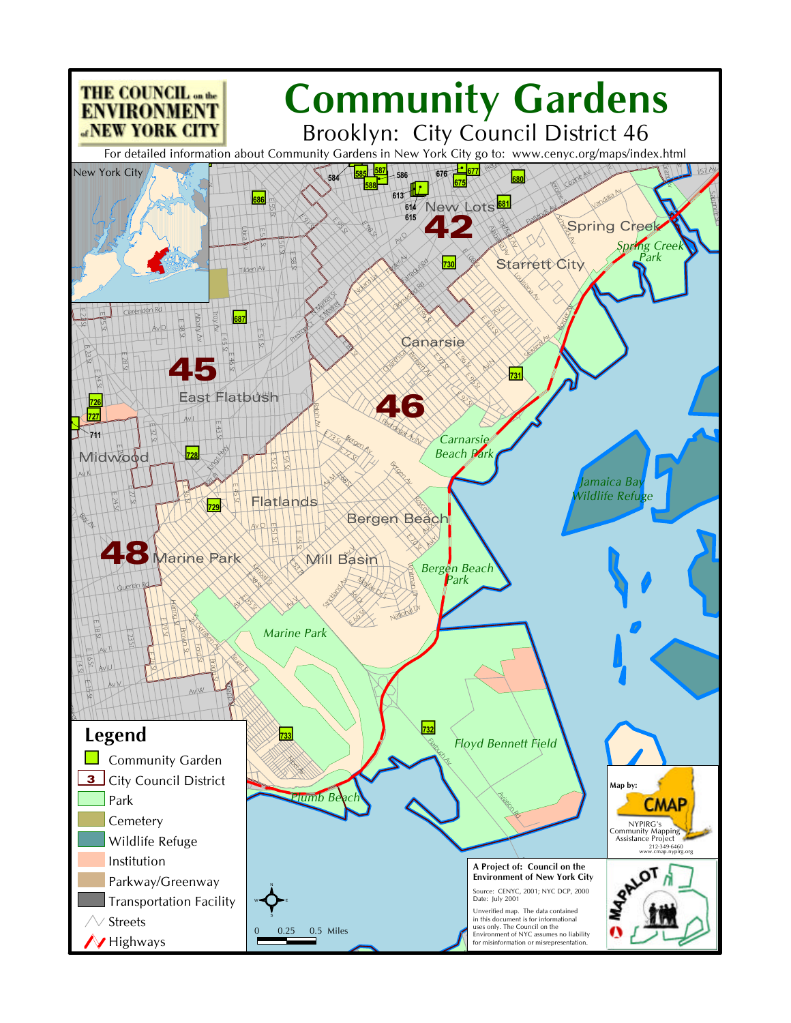